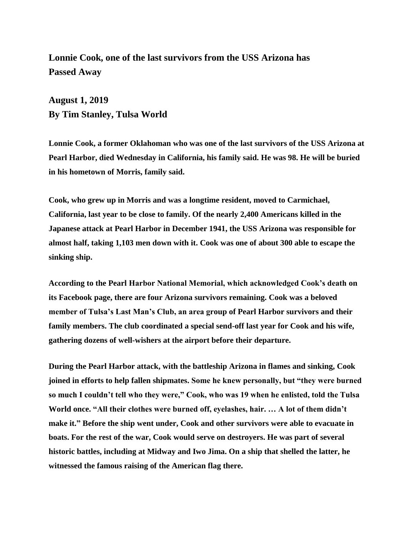**Lonnie Cook, one of the last survivors from the USS Arizona has Passed Away**

**August 1, 2019 By Tim Stanley, Tulsa World**

**Lonnie Cook, a former Oklahoman who was one of the last survivors of the USS Arizona at Pearl Harbor, died Wednesday in California, his family said. He was 98. He will be buried in his hometown of Morris, family said.**

**Cook, who grew up in Morris and was a longtime resident, [moved to Carmichael,](https://www.tulsaworld.com/news/local/farewell-sailor-on-the-eve-of-moving-one-of-last/article_feb89bac-3fbf-53fe-b99f-1a52126b403b.html)  [California, last year to be close to family.](https://www.tulsaworld.com/news/local/farewell-sailor-on-the-eve-of-moving-one-of-last/article_feb89bac-3fbf-53fe-b99f-1a52126b403b.html) Of the nearly 2,400 Americans killed in the Japanese attack at Pearl Harbor in December 1941, the USS Arizona was responsible for almost half, taking 1,103 men down with it. Cook was one of about 300 able to escape the sinking ship.**

**According to the Pearl Harbor National Memorial, which acknowledged Cook's death [on](http://www.facebook.com/PearlHarborNPS/)  [its Facebook page,](http://www.facebook.com/PearlHarborNPS/) there are four Arizona survivors remaining. Cook was a beloved member of Tulsa's Last Man's Club, an area group of Pearl Harbor survivors and their family members. The club coordinated a special send-off last year for Cook and his wife, gathering dozens of well-wishers at the airport before their departure.**

**During the Pearl Harbor attack, with the battleship Arizona in flames and sinking, Cook joined in efforts to help fallen shipmates. Some he knew personally, but "they were burned so much I couldn't tell who they were," Cook, who was 19 when he enlisted, told the Tulsa World once. "All their clothes were burned off, eyelashes, hair. … A lot of them didn't make it." Before the ship went under, Cook and other survivors were able to evacuate in boats. For the rest of the war, Cook would serve on destroyers. He was part of several historic battles, including at Midway and Iwo Jima. On a ship that shelled the latter, he witnessed the famous raising of the American flag there.**